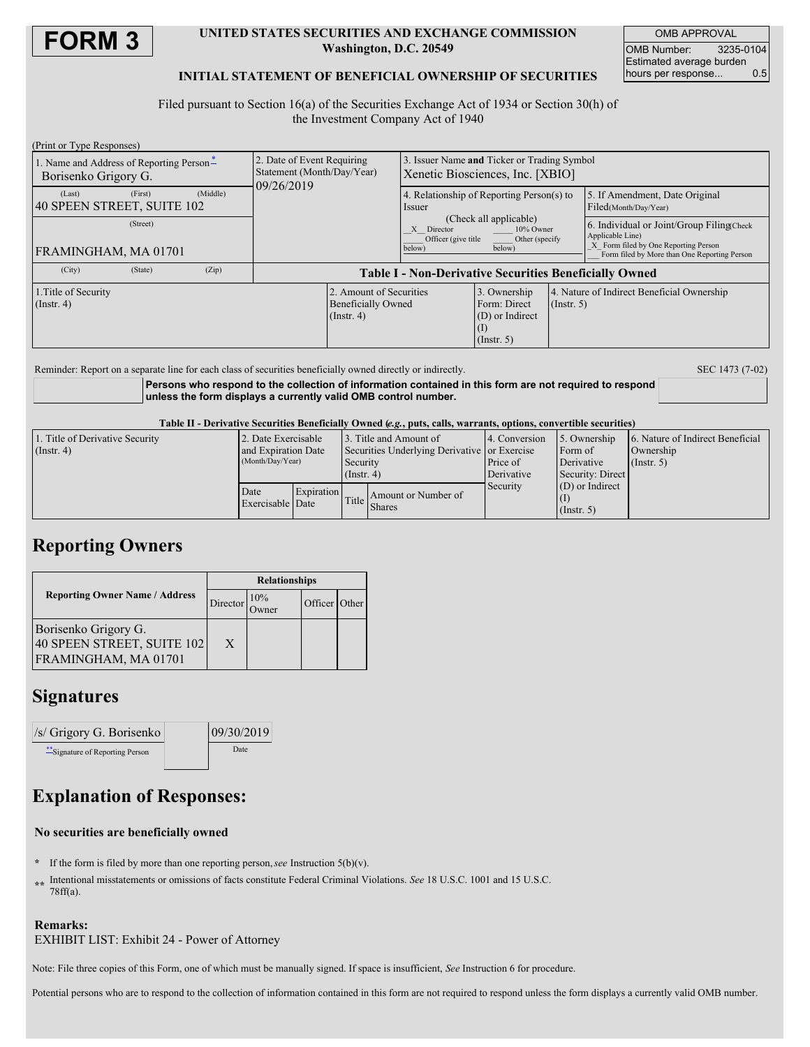

### **UNITED STATES SECURITIES AND EXCHANGE COMMISSION Washington, D.C. 20549**

OMB APPROVAL OMB Number: 3235-0104 Estimated average burden hours per response... 0.5

## **INITIAL STATEMENT OF BENEFICIAL OWNERSHIP OF SECURITIES**

Filed pursuant to Section 16(a) of the Securities Exchange Act of 1934 or Section 30(h) of the Investment Company Act of 1940

| (Print or Type Responses)                                        |         |          |                                                                        |                                                                                 |                                                                                                                |                                                                |  |                                                                                                                                                        |  |
|------------------------------------------------------------------|---------|----------|------------------------------------------------------------------------|---------------------------------------------------------------------------------|----------------------------------------------------------------------------------------------------------------|----------------------------------------------------------------|--|--------------------------------------------------------------------------------------------------------------------------------------------------------|--|
| 1. Name and Address of Reporting Person-<br>Borisenko Grigory G. |         |          | 2. Date of Event Requiring<br>Statement (Month/Day/Year)<br>09/26/2019 | 3. Issuer Name and Ticker or Trading Symbol<br>Xenetic Biosciences, Inc. [XBIO] |                                                                                                                |                                                                |  |                                                                                                                                                        |  |
| (Last)<br>40 SPEEN STREET, SUITE 102                             | (First) | (Middle) |                                                                        |                                                                                 | 4. Relationship of Reporting Person(s) to<br>Issuer                                                            |                                                                |  | 5. If Amendment, Date Original<br>Filed(Month/Day/Year)                                                                                                |  |
| (Street)<br>FRAMINGHAM, MA 01701                                 |         |          |                                                                        |                                                                                 | (Check all applicable)<br>10% Owner<br>X Director<br>Officer (give title<br>Other (specify<br>below)<br>below) |                                                                |  | 6. Individual or Joint/Group Filing(Check)<br>Applicable Line)<br>X Form filed by One Reporting Person<br>Form filed by More than One Reporting Person |  |
| (City)                                                           | (State) | (Zip)    | <b>Table I - Non-Derivative Securities Beneficially Owned</b>          |                                                                                 |                                                                                                                |                                                                |  |                                                                                                                                                        |  |
| 1. Title of Security<br>(Insert, 4)                              |         |          | 2. Amount of Securities<br><b>Beneficially Owned</b><br>$($ Instr. 4)  |                                                                                 | 3. Ownership<br>Form: Direct<br>(D) or Indirect<br>$($ Instr. 5 $)$                                            | 4. Nature of Indirect Beneficial Ownership<br>$($ Instr. 5 $)$ |  |                                                                                                                                                        |  |
|                                                                  |         |          |                                                                        |                                                                                 |                                                                                                                |                                                                |  |                                                                                                                                                        |  |

Reminder: Report on a separate line for each class of securities beneficially owned directly or indirectly. SEC 1473 (7-02)

**Persons who respond to the collection of information contained in this form are not required to respond unless the form displays a currently valid OMB control number.**

Table II - Derivative Securities Beneficially Owned (e.g., puts, calls, warrants, options, convertible securities)

| 1. Title of Derivative Security | 2. Date Exercisable      |  | 3. Title and Amount of                       |                     | 14. Conversion | 5. Ownership      | 6. Nature of Indirect Beneficial |
|---------------------------------|--------------------------|--|----------------------------------------------|---------------------|----------------|-------------------|----------------------------------|
| $($ Instr. 4 $)$                | and Expiration Date      |  | Securities Underlying Derivative or Exercise |                     |                | Form of           | Ownership                        |
|                                 | (Month/Day/Year)         |  | Security                                     |                     | Price of       | Derivative        | $($ Instr. 5 $)$                 |
|                                 |                          |  | $($ Instr. 4)                                |                     | Derivative     | Security: Direct  |                                  |
|                                 | Date<br>Exercisable Date |  | Expiration<br>Title I                        | Amount or Number of | Security       | $(D)$ or Indirect |                                  |
|                                 |                          |  |                                              |                     |                |                   |                                  |
|                                 |                          |  |                                              | Shares              |                | $($ Instr. 5)     |                                  |

# **Reporting Owners**

|                                                                            | <b>Relationships</b> |             |               |  |  |
|----------------------------------------------------------------------------|----------------------|-------------|---------------|--|--|
| <b>Reporting Owner Name / Address</b>                                      | Director             | 10%<br>wner | Officer Other |  |  |
| Borisenko Grigory G.<br>40 SPEEN STREET, SUITE 102<br>FRAMINGHAM, MA 01701 | X                    |             |               |  |  |

## **Signatures**

| /s/ Grigory G. Borisenko       | 09/30/2019 |  |  |
|--------------------------------|------------|--|--|
| "Signature of Reporting Person | Date       |  |  |

# **Explanation of Responses:**

### **No securities are beneficially owned**

- **\*** If the form is filed by more than one reporting person,*see* Instruction 5(b)(v).
- **\*\*** Intentional misstatements or omissions of facts constitute Federal Criminal Violations. *See* 18 U.S.C. 1001 and 15 U.S.C. 78ff(a).

### **Remarks:**

EXHIBIT LIST: Exhibit 24 - Power of Attorney

Note: File three copies of this Form, one of which must be manually signed. If space is insufficient, *See* Instruction 6 for procedure.

Potential persons who are to respond to the collection of information contained in this form are not required to respond unless the form displays a currently valid OMB number.